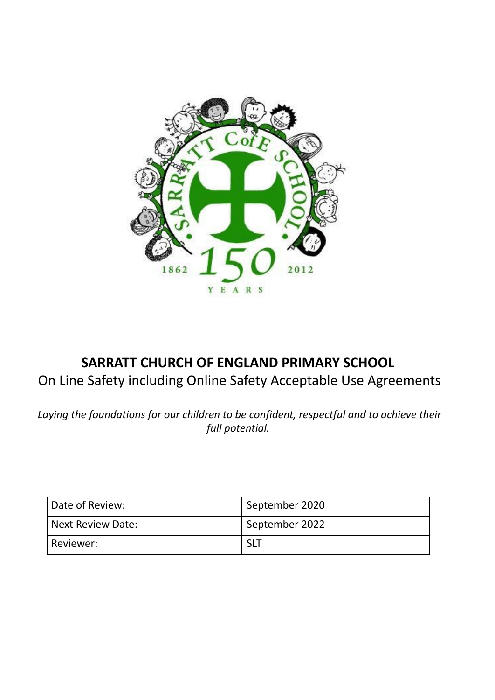

# **SARRATT CHURCH OF ENGLAND PRIMARY SCHOOL** On Line Safety including Online Safety Acceptable Use Agreements

*Laying the foundations for our children to be confident, respectful and to achieve their full potential.*

| Date of Review:   | September 2020 |
|-------------------|----------------|
| Next Review Date: | September 2022 |
| Reviewer:         |                |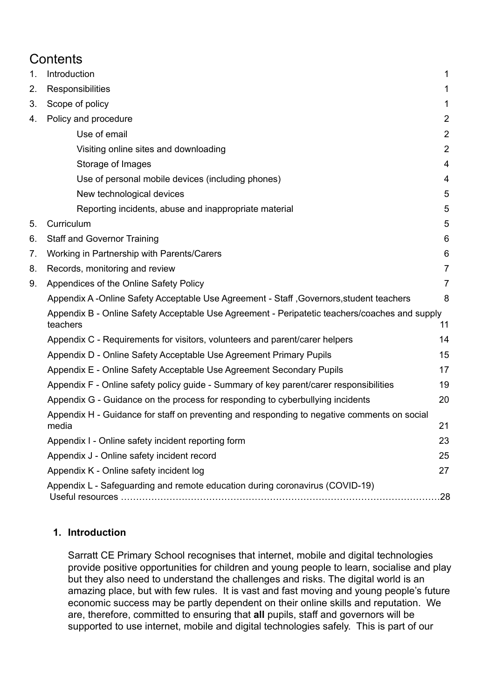# **Contents**

| 1. | Introduction                                                                                              | 1                       |
|----|-----------------------------------------------------------------------------------------------------------|-------------------------|
| 2. | Responsibilities                                                                                          | 1                       |
| 3. | Scope of policy                                                                                           | $\mathbf 1$             |
| 4. | Policy and procedure                                                                                      | $\overline{2}$          |
|    | Use of email                                                                                              | $\overline{2}$          |
|    | Visiting online sites and downloading                                                                     | $\overline{2}$          |
|    | Storage of Images                                                                                         | $\overline{\mathbf{4}}$ |
|    | Use of personal mobile devices (including phones)                                                         | 4                       |
|    | New technological devices                                                                                 | 5                       |
|    | Reporting incidents, abuse and inappropriate material                                                     | 5                       |
| 5. | Curriculum                                                                                                | 5                       |
| 6. | <b>Staff and Governor Training</b>                                                                        | 6                       |
| 7. | Working in Partnership with Parents/Carers                                                                | 6                       |
| 8. | Records, monitoring and review                                                                            | $\overline{7}$          |
| 9. | Appendices of the Online Safety Policy                                                                    | $\overline{7}$          |
|    | Appendix A -Online Safety Acceptable Use Agreement - Staff, Governors, student teachers                   | 8                       |
|    | Appendix B - Online Safety Acceptable Use Agreement - Peripatetic teachers/coaches and supply<br>teachers | 11                      |
|    | Appendix C - Requirements for visitors, volunteers and parent/carer helpers                               | 14                      |
|    | Appendix D - Online Safety Acceptable Use Agreement Primary Pupils                                        | 15                      |
|    | Appendix E - Online Safety Acceptable Use Agreement Secondary Pupils                                      | 17                      |
|    | Appendix F - Online safety policy guide - Summary of key parent/carer responsibilities                    | 19                      |
|    | Appendix G - Guidance on the process for responding to cyberbullying incidents                            | 20                      |
|    | Appendix H - Guidance for staff on preventing and responding to negative comments on social<br>media      | 21                      |
|    | Appendix I - Online safety incident reporting form                                                        | 23                      |
|    | Appendix J - Online safety incident record                                                                | 25                      |
|    | Appendix K - Online safety incident log                                                                   | 27                      |
|    | Appendix L - Safeguarding and remote education during coronavirus (COVID-19)                              | .28                     |

# <span id="page-1-0"></span>**1. Introduction**

Sarratt CE Primary School recognises that internet, mobile and digital technologies provide positive opportunities for children and young people to learn, socialise and play but they also need to understand the challenges and risks. The digital world is an amazing place, but with few rules. It is vast and fast moving and young people's future economic success may be partly dependent on their online skills and reputation. We are, therefore, committed to ensuring that **all** pupils, staff and governors will be supported to use internet, mobile and digital technologies safely. This is part of our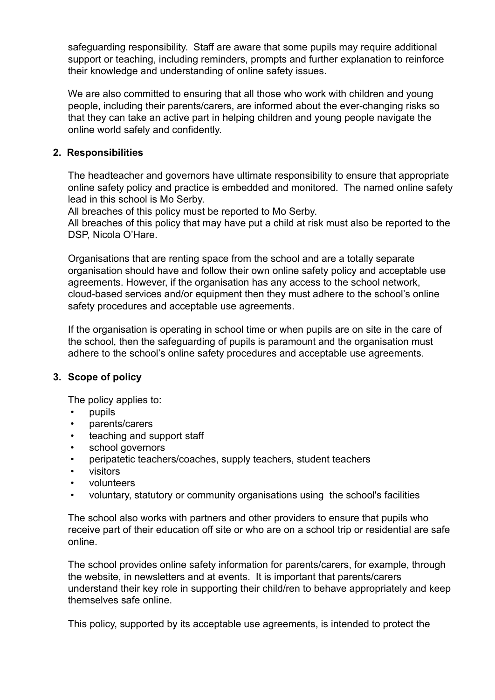safeguarding responsibility. Staff are aware that some pupils may require additional support or teaching, including reminders, prompts and further explanation to reinforce their knowledge and understanding of online safety issues.

We are also committed to ensuring that all those who work with children and young people, including their parents/carers, are informed about the ever-changing risks so that they can take an active part in helping children and young people navigate the online world safely and confidently.

# <span id="page-2-0"></span>**2. Responsibilities**

The headteacher and governors have ultimate responsibility to ensure that appropriate online safety policy and practice is embedded and monitored. The named online safety lead in this school is Mo Serby.

All breaches of this policy must be reported to Mo Serby.

All breaches of this policy that may have put a child at risk must also be reported to the DSP, Nicola O'Hare.

Organisations that are renting space from the school and are a totally separate organisation should have and follow their own online safety policy and acceptable use agreements. However, if the organisation has any access to the school network, cloud-based services and/or equipment then they must adhere to the school's online safety procedures and acceptable use agreements.

If the organisation is operating in school time or when pupils are on site in the care of the school, then the safeguarding of pupils is paramount and the organisation must adhere to the school's online safety procedures and acceptable use agreements.

# <span id="page-2-1"></span>**3. Scope of policy**

The policy applies to:

- pupils
- parents/carers
- teaching and support staff
- school governors
- peripatetic teachers/coaches, supply teachers, student teachers
- visitors
- volunteers
- voluntary, statutory or community organisations using the school's facilities

The school also works with partners and other providers to ensure that pupils who receive part of their education off site or who are on a school trip or residential are safe online.

The school provides online safety information for parents/carers, for example, through the website, in newsletters and at events. It is important that parents/carers understand their key role in supporting their child/ren to behave appropriately and keep themselves safe online.

This policy, supported by its acceptable use agreements, is intended to protect the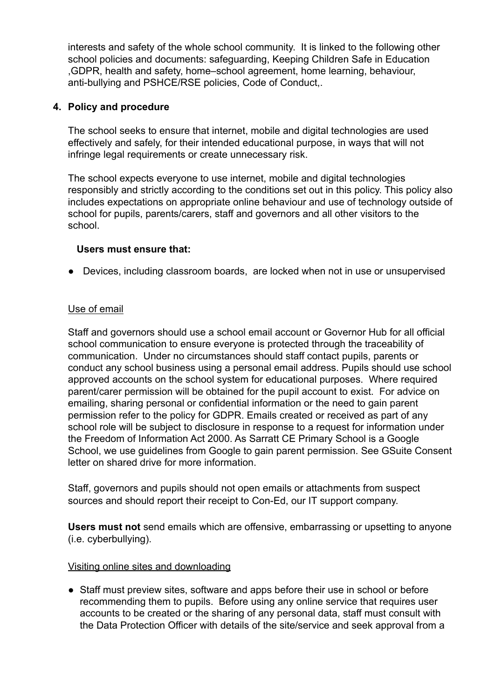interests and safety of the whole school community. It is linked to the following other school policies and documents: safeguarding, Keeping Children Safe in Education ,GDPR, health and safety, home–school agreement, home learning, behaviour, anti-bullying and PSHCE/RSE policies, Code of Conduct,.

# <span id="page-3-0"></span>**4. Policy and procedure**

The school seeks to ensure that internet, mobile and digital technologies are used effectively and safely, for their intended educational purpose, in ways that will not infringe legal requirements or create unnecessary risk.

The school expects everyone to use internet, mobile and digital technologies responsibly and strictly according to the conditions set out in this policy. This policy also includes expectations on appropriate online behaviour and use of technology outside of school for pupils, parents/carers, staff and governors and all other visitors to the school.

## **Users must ensure that:**

● Devices, including classroom boards, are locked when not in use or unsupervised

# <span id="page-3-1"></span>Use of email

Staff and governors should use a school email account or Governor Hub for all official school communication to ensure everyone is protected through the traceability of communication. Under no circumstances should staff contact pupils, parents or conduct any school business using a personal email address. Pupils should use school approved accounts on the school system for educational purposes. Where required parent/carer permission will be obtained for the pupil account to exist. For advice on emailing, sharing personal or confidential information or the need to gain parent permission refer to the policy for GDPR. Emails created or received as part of any school role will be subject to disclosure in response to a request for information under the Freedom of Information Act 2000. As Sarratt CE Primary School is a Google School, we use guidelines from Google to gain parent permission. See GSuite Consent letter on shared drive for more information.

Staff, governors and pupils should not open emails or attachments from suspect sources and should report their receipt to Con-Ed, our IT support company.

**Users must not** send emails which are offensive, embarrassing or upsetting to anyone (i.e. cyberbullying).

## <span id="page-3-2"></span>Visiting online sites and downloading

• Staff must preview sites, software and apps before their use in school or before recommending them to pupils. Before using any online service that requires user accounts to be created or the sharing of any personal data, staff must consult with the Data Protection Officer with details of the site/service and seek approval from a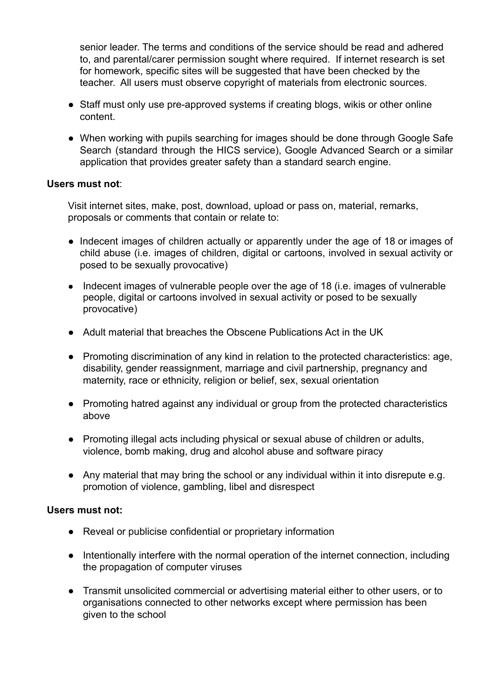senior leader. The terms and conditions of the service should be read and adhered to, and parental/carer permission sought where required. If internet research is set for homework, specific sites will be suggested that have been checked by the teacher. All users must observe copyright of materials from electronic sources.

- Staff must only use pre-approved systems if creating blogs, wikis or other online content.
- When working with pupils searching for images should be done through Google Safe Search (standard through the HICS service), Google Advanced Search or a similar application that provides greater safety than a standard search engine.

## **Users must not**:

Visit internet sites, make, post, download, upload or pass on, material, remarks, proposals or comments that contain or relate to:

- Indecent images of children actually or apparently under the age of 18 or images of child abuse (i.e. images of children, digital or cartoons, involved in sexual activity or posed to be sexually provocative)
- Indecent images of vulnerable people over the age of 18 (i.e. images of vulnerable people, digital or cartoons involved in sexual activity or posed to be sexually provocative)
- Adult material that breaches the Obscene Publications Act in the UK
- Promoting discrimination of any kind in relation to the protected characteristics: age, disability, gender reassignment, marriage and civil partnership, pregnancy and maternity, race or ethnicity, religion or belief, sex, sexual orientation
- Promoting hatred against any individual or group from the protected characteristics above
- Promoting illegal acts including physical or sexual abuse of children or adults, violence, bomb making, drug and alcohol abuse and software piracy
- Any material that may bring the school or any individual within it into disrepute e.g. promotion of violence, gambling, libel and disrespect

## **Users must not:**

- Reveal or publicise confidential or proprietary information
- Intentionally interfere with the normal operation of the internet connection, including the propagation of computer viruses
- Transmit unsolicited commercial or advertising material either to other users, or to organisations connected to other networks except where permission has been given to the school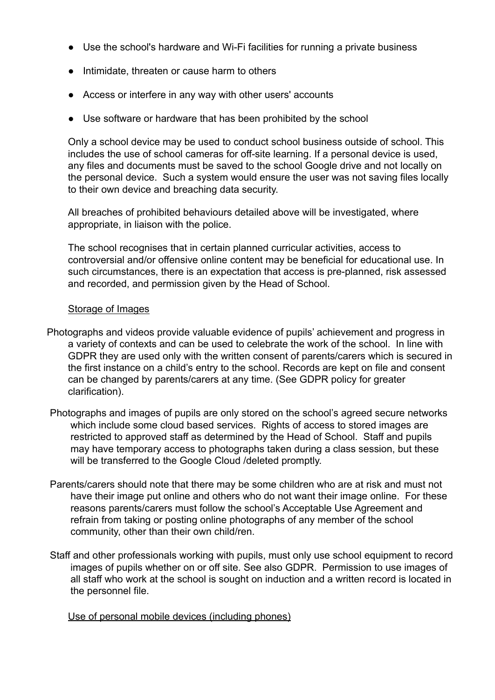- Use the school's hardware and Wi-Fi facilities for running a private business
- Intimidate, threaten or cause harm to others
- Access or interfere in any way with other users' accounts
- Use software or hardware that has been prohibited by the school

Only a school device may be used to conduct school business outside of school. This includes the use of school cameras for off-site learning. If a personal device is used, any files and documents must be saved to the school Google drive and not locally on the personal device. Such a system would ensure the user was not saving files locally to their own device and breaching data security.

All breaches of prohibited behaviours detailed above will be investigated, where appropriate, in liaison with the police.

The school recognises that in certain planned curricular activities, access to controversial and/or offensive online content may be beneficial for educational use. In such circumstances, there is an expectation that access is pre-planned, risk assessed and recorded, and permission given by the Head of School.

# Storage of Images

- <span id="page-5-0"></span>Photographs and videos provide valuable evidence of pupils' achievement and progress in a variety of contexts and can be used to celebrate the work of the school. In line with GDPR they are used only with the written consent of parents/carers which is secured in the first instance on a child's entry to the school. Records are kept on file and consent can be changed by parents/carers at any time. (See GDPR policy for greater clarification).
- Photographs and images of pupils are only stored on the school's agreed secure networks which include some cloud based services. Rights of access to stored images are restricted to approved staff as determined by the Head of School. Staff and pupils may have temporary access to photographs taken during a class session, but these will be transferred to the Google Cloud /deleted promptly.
- Parents/carers should note that there may be some children who are at risk and must not have their image put online and others who do not want their image online. For these reasons parents/carers must follow the school's Acceptable Use Agreement and refrain from taking or posting online photographs of any member of the school community, other than their own child/ren.
- Staff and other professionals working with pupils, must only use school equipment to record images of pupils whether on or off site. See also GDPR. Permission to use images of all staff who work at the school is sought on induction and a written record is located in the personnel file.

## <span id="page-5-1"></span>Use of personal mobile devices (including phones)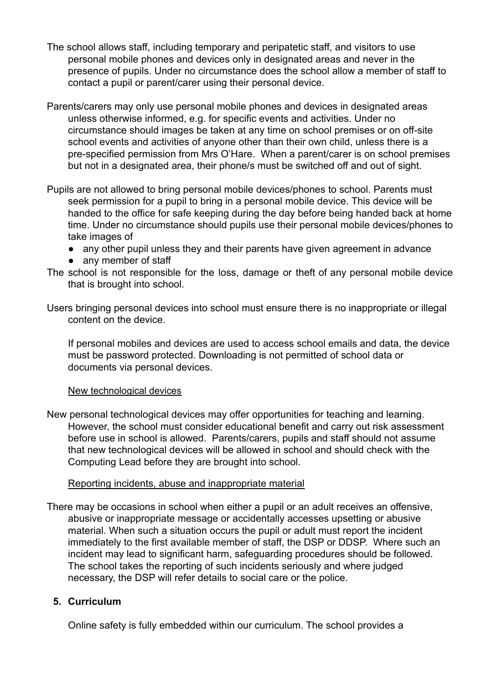- The school allows staff, including temporary and peripatetic staff, and visitors to use personal mobile phones and devices only in designated areas and never in the presence of pupils. Under no circumstance does the school allow a member of staff to contact a pupil or parent/carer using their personal device.
- Parents/carers may only use personal mobile phones and devices in designated areas unless otherwise informed, e.g. for specific events and activities. Under no circumstance should images be taken at any time on school premises or on off-site school events and activities of anyone other than their own child, unless there is a pre-specified permission from Mrs O'Hare. When a parent/carer is on school premises but not in a designated area, their phone/s must be switched off and out of sight.
- Pupils are not allowed to bring personal mobile devices/phones to school. Parents must seek permission for a pupil to bring in a personal mobile device. This device will be handed to the office for safe keeping during the day before being handed back at home time. Under no circumstance should pupils use their personal mobile devices/phones to take images of
	- any other pupil unless they and their parents have given agreement in advance
	- any member of staff
- The school is not responsible for the loss, damage or theft of any personal mobile device that is brought into school.
- Users bringing personal devices into school must ensure there is no inappropriate or illegal content on the device.

<span id="page-6-0"></span>If personal mobiles and devices are used to access school emails and data, the device must be password protected. Downloading is not permitted of school data or documents via personal devices.

## New technological devices

New personal technological devices may offer opportunities for teaching and learning. However, the school must consider educational benefit and carry out risk assessment before use in school is allowed. Parents/carers, pupils and staff should not assume that new technological devices will be allowed in school and should check with the Computing Lead before they are brought into school.

## Reporting incidents, abuse and inappropriate material

<span id="page-6-1"></span>There may be occasions in school when either a pupil or an adult receives an offensive, abusive or inappropriate message or accidentally accesses upsetting or abusive material. When such a situation occurs the pupil or adult must report the incident immediately to the first available member of staff, the DSP or DDSP. Where such an incident may lead to significant harm, safeguarding procedures should be followed. The school takes the reporting of such incidents seriously and where judged necessary, the DSP will refer details to social care or the police.

# <span id="page-6-2"></span>**5. Curriculum**

Online safety is fully embedded within our curriculum. The school provides a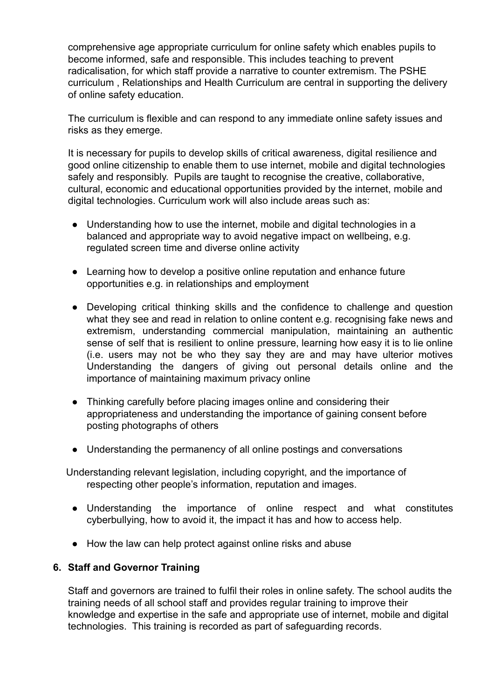comprehensive age appropriate curriculum for online safety which enables pupils to become informed, safe and responsible. This includes teaching to prevent radicalisation, for which staff provide a narrative to counter extremism. The PSHE curriculum , Relationships and Health Curriculum are central in supporting the delivery of online safety education.

The curriculum is flexible and can respond to any immediate online safety issues and risks as they emerge.

It is necessary for pupils to develop skills of critical awareness, digital resilience and good online citizenship to enable them to use internet, mobile and digital technologies safely and responsibly. Pupils are taught to recognise the creative, collaborative, cultural, economic and educational opportunities provided by the internet, mobile and digital technologies. Curriculum work will also include areas such as:

- Understanding how to use the internet, mobile and digital technologies in a balanced and appropriate way to avoid negative impact on wellbeing, e.g. regulated screen time and diverse online activity
- Learning how to develop a positive online reputation and enhance future opportunities e.g. in relationships and employment
- Developing critical thinking skills and the confidence to challenge and question what they see and read in relation to online content e.g. recognising fake news and extremism, understanding commercial manipulation, maintaining an authentic sense of self that is resilient to online pressure, learning how easy it is to lie online (i.e. users may not be who they say they are and may have ulterior motives Understanding the dangers of giving out personal details online and the importance of maintaining maximum privacy online
- Thinking carefully before placing images online and considering their appropriateness and understanding the importance of gaining consent before posting photographs of others
- Understanding the permanency of all online postings and conversations

Understanding relevant legislation, including copyright, and the importance of respecting other people's information, reputation and images.

- Understanding the importance of online respect and what constitutes cyberbullying, how to avoid it, the impact it has and how to access help.
- How the law can help protect against online risks and abuse

# <span id="page-7-0"></span>**6. Staff and Governor Training**

Staff and governors are trained to fulfil their roles in online safety. The school audits the training needs of all school staff and provides regular training to improve their knowledge and expertise in the safe and appropriate use of internet, mobile and digital technologies. This training is recorded as part of safeguarding records.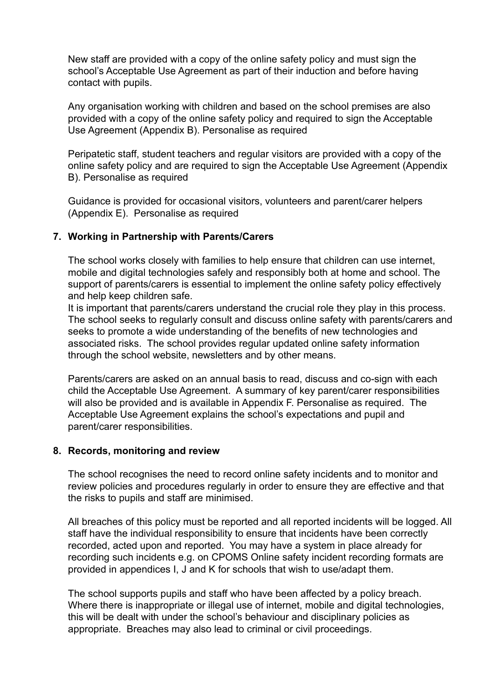New staff are provided with a copy of the online safety policy and must sign the school's Acceptable Use Agreement as part of their induction and before having contact with pupils.

Any organisation working with children and based on the school premises are also provided with a copy of the online safety policy and required to sign the Acceptable Use Agreement (Appendix B). Personalise as required

Peripatetic staff, student teachers and regular visitors are provided with a copy of the online safety policy and are required to sign the Acceptable Use Agreement (Appendix B). Personalise as required

Guidance is provided for occasional visitors, volunteers and parent/carer helpers (Appendix E). Personalise as required

## <span id="page-8-0"></span>**7. Working in Partnership with Parents/Carers**

The school works closely with families to help ensure that children can use internet, mobile and digital technologies safely and responsibly both at home and school. The support of parents/carers is essential to implement the online safety policy effectively and help keep children safe.

It is important that parents/carers understand the crucial role they play in this process. The school seeks to regularly consult and discuss online safety with parents/carers and seeks to promote a wide understanding of the benefits of new technologies and associated risks. The school provides regular updated online safety information through the school website, newsletters and by other means.

Parents/carers are asked on an annual basis to read, discuss and co-sign with each child the Acceptable Use Agreement. A summary of key parent/carer responsibilities will also be provided and is available in Appendix F. Personalise as required. The Acceptable Use Agreement explains the school's expectations and pupil and parent/carer responsibilities.

#### <span id="page-8-1"></span>**8. Records, monitoring and review**

The school recognises the need to record online safety incidents and to monitor and review policies and procedures regularly in order to ensure they are effective and that the risks to pupils and staff are minimised.

All breaches of this policy must be reported and all reported incidents will be logged. All staff have the individual responsibility to ensure that incidents have been correctly recorded, acted upon and reported. You may have a system in place already for recording such incidents e.g. on CPOMS Online safety incident recording formats are provided in appendices I, J and K for schools that wish to use/adapt them.

The school supports pupils and staff who have been affected by a policy breach. Where there is inappropriate or illegal use of internet, mobile and digital technologies, this will be dealt with under the school's behaviour and disciplinary policies as appropriate. Breaches may also lead to criminal or civil proceedings.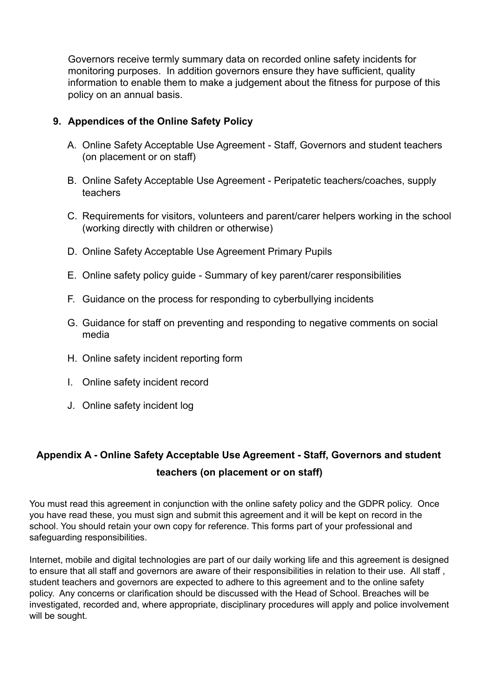Governors receive termly summary data on recorded online safety incidents for monitoring purposes. In addition governors ensure they have sufficient, quality information to enable them to make a judgement about the fitness for purpose of this policy on an annual basis.

# <span id="page-9-0"></span>**9. Appendices of the Online Safety Policy**

- A. Online Safety Acceptable Use Agreement Staff, Governors and student teachers (on placement or on staff)
- B. Online Safety Acceptable Use Agreement Peripatetic teachers/coaches, supply teachers
- C. Requirements for visitors, volunteers and parent/carer helpers working in the school (working directly with children or otherwise)
- D. Online Safety Acceptable Use Agreement Primary Pupils
- E. Online safety policy guide Summary of key parent/carer responsibilities
- F. Guidance on the process for responding to cyberbullying incidents
- G. Guidance for staff on preventing and responding to negative comments on social media
- H. Online safety incident reporting form
- I. Online safety incident record
- J. Online safety incident log

# <span id="page-9-1"></span>**Appendix A - Online Safety Acceptable Use Agreement - Staff, Governors and student teachers (on placement or on staff)**

You must read this agreement in conjunction with the online safety policy and the GDPR policy. Once you have read these, you must sign and submit this agreement and it will be kept on record in the school. You should retain your own copy for reference. This forms part of your professional and safeguarding responsibilities.

Internet, mobile and digital technologies are part of our daily working life and this agreement is designed to ensure that all staff and governors are aware of their responsibilities in relation to their use. All staff , student teachers and governors are expected to adhere to this agreement and to the online safety policy. Any concerns or clarification should be discussed with the Head of School. Breaches will be investigated, recorded and, where appropriate, disciplinary procedures will apply and police involvement will be sought.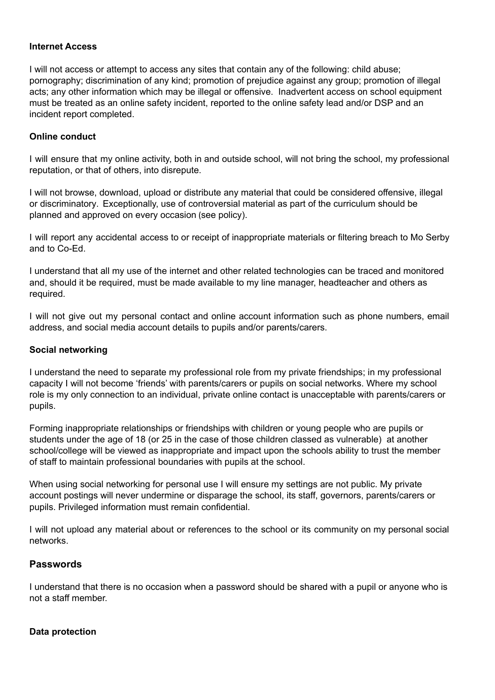#### **Internet Access**

I will not access or attempt to access any sites that contain any of the following: child abuse; pornography; discrimination of any kind; promotion of prejudice against any group; promotion of illegal acts; any other information which may be illegal or offensive. Inadvertent access on school equipment must be treated as an online safety incident, reported to the online safety lead and/or DSP and an incident report completed.

#### **Online conduct**

I will ensure that my online activity, both in and outside school, will not bring the school, my professional reputation, or that of others, into disrepute.

I will not browse, download, upload or distribute any material that could be considered offensive, illegal or discriminatory. Exceptionally, use of controversial material as part of the curriculum should be planned and approved on every occasion (see policy).

I will report any accidental access to or receipt of inappropriate materials or filtering breach to Mo Serby and to Co-Ed.

I understand that all my use of the internet and other related technologies can be traced and monitored and, should it be required, must be made available to my line manager, headteacher and others as required.

I will not give out my personal contact and online account information such as phone numbers, email address, and social media account details to pupils and/or parents/carers.

#### **Social networking**

I understand the need to separate my professional role from my private friendships; in my professional capacity I will not become 'friends' with parents/carers or pupils on social networks. Where my school role is my only connection to an individual, private online contact is unacceptable with parents/carers or pupils.

Forming inappropriate relationships or friendships with children or young people who are pupils or students under the age of 18 (or 25 in the case of those children classed as vulnerable) at another school/college will be viewed as inappropriate and impact upon the schools ability to trust the member of staff to maintain professional boundaries with pupils at the school.

When using social networking for personal use I will ensure my settings are not public. My private account postings will never undermine or disparage the school, its staff, governors, parents/carers or pupils. Privileged information must remain confidential.

I will not upload any material about or references to the school or its community on my personal social networks.

## **Passwords**

I understand that there is no occasion when a password should be shared with a pupil or anyone who is not a staff member.

#### **Data protection**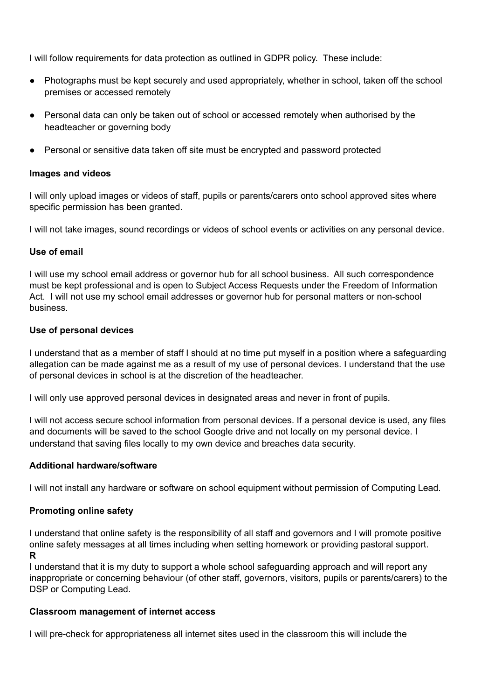I will follow requirements for data protection as outlined in GDPR policy. These include:

- Photographs must be kept securely and used appropriately, whether in school, taken off the school premises or accessed remotely
- Personal data can only be taken out of school or accessed remotely when authorised by the headteacher or governing body
- Personal or sensitive data taken off site must be encrypted and password protected

#### **Images and videos**

I will only upload images or videos of staff, pupils or parents/carers onto school approved sites where specific permission has been granted.

I will not take images, sound recordings or videos of school events or activities on any personal device.

#### **Use of email**

I will use my school email address or governor hub for all school business. All such correspondence must be kept professional and is open to Subject Access Requests under the Freedom of Information Act. I will not use my school email addresses or governor hub for personal matters or non-school business.

#### **Use of personal devices**

I understand that as a member of staff I should at no time put myself in a position where a safeguarding allegation can be made against me as a result of my use of personal devices. I understand that the use of personal devices in school is at the discretion of the headteacher.

I will only use approved personal devices in designated areas and never in front of pupils.

I will not access secure school information from personal devices. If a personal device is used, any files and documents will be saved to the school Google drive and not locally on my personal device. I understand that saving files locally to my own device and breaches data security.

#### **Additional hardware/software**

I will not install any hardware or software on school equipment without permission of Computing Lead.

#### **Promoting online safety**

I understand that online safety is the responsibility of all staff and governors and I will promote positive online safety messages at all times including when setting homework or providing pastoral support. **R**

I understand that it is my duty to support a whole school safeguarding approach and will report any inappropriate or concerning behaviour (of other staff, governors, visitors, pupils or parents/carers) to the DSP or Computing Lead.

#### **Classroom management of internet access**

I will pre-check for appropriateness all internet sites used in the classroom this will include the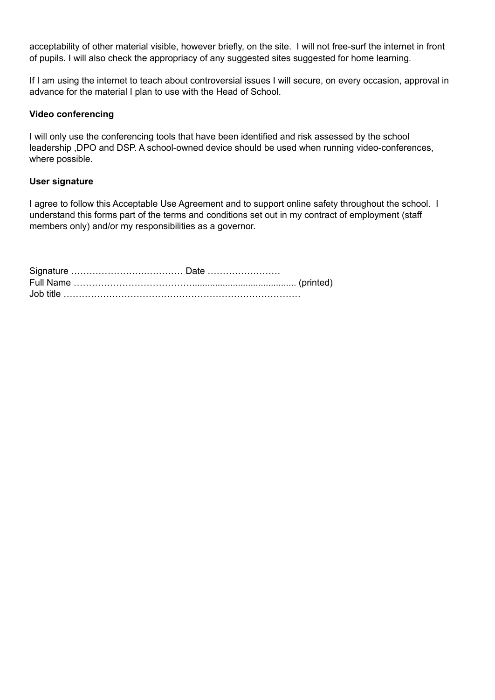acceptability of other material visible, however briefly, on the site. I will not free-surf the internet in front of pupils. I will also check the appropriacy of any suggested sites suggested for home learning.

If I am using the internet to teach about controversial issues I will secure, on every occasion, approval in advance for the material I plan to use with the Head of School.

#### **Video conferencing**

I will only use the conferencing tools that have been identified and risk assessed by the school leadership ,DPO and DSP. A school-owned device should be used when running video-conferences, where possible.

#### **User signature**

I agree to follow this Acceptable Use Agreement and to support online safety throughout the school. I understand this forms part of the terms and conditions set out in my contract of employment (staff members only) and/or my responsibilities as a governor.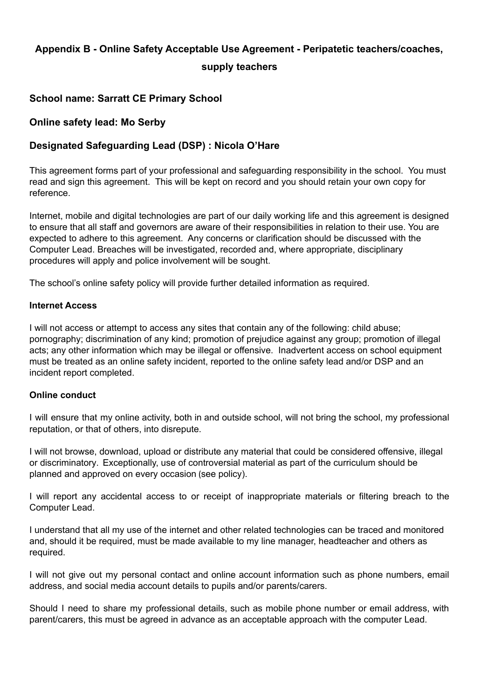# <span id="page-13-0"></span>**Appendix B - Online Safety Acceptable Use Agreement - Peripatetic teachers/coaches,**

## **supply teachers**

# **School name: Sarratt CE Primary School**

# **Online safety lead: Mo Serby**

# **Designated Safeguarding Lead (DSP) : Nicola O'Hare**

This agreement forms part of your professional and safeguarding responsibility in the school. You must read and sign this agreement. This will be kept on record and you should retain your own copy for reference.

Internet, mobile and digital technologies are part of our daily working life and this agreement is designed to ensure that all staff and governors are aware of their responsibilities in relation to their use. You are expected to adhere to this agreement. Any concerns or clarification should be discussed with the Computer Lead. Breaches will be investigated, recorded and, where appropriate, disciplinary procedures will apply and police involvement will be sought.

The school's online safety policy will provide further detailed information as required.

#### **Internet Access**

I will not access or attempt to access any sites that contain any of the following: child abuse; pornography; discrimination of any kind; promotion of prejudice against any group; promotion of illegal acts; any other information which may be illegal or offensive. Inadvertent access on school equipment must be treated as an online safety incident, reported to the online safety lead and/or DSP and an incident report completed.

#### **Online conduct**

I will ensure that my online activity, both in and outside school, will not bring the school, my professional reputation, or that of others, into disrepute.

I will not browse, download, upload or distribute any material that could be considered offensive, illegal or discriminatory. Exceptionally, use of controversial material as part of the curriculum should be planned and approved on every occasion (see policy).

I will report any accidental access to or receipt of inappropriate materials or filtering breach to the Computer Lead.

I understand that all my use of the internet and other related technologies can be traced and monitored and, should it be required, must be made available to my line manager, headteacher and others as required.

I will not give out my personal contact and online account information such as phone numbers, email address, and social media account details to pupils and/or parents/carers.

Should I need to share my professional details, such as mobile phone number or email address, with parent/carers, this must be agreed in advance as an acceptable approach with the computer Lead.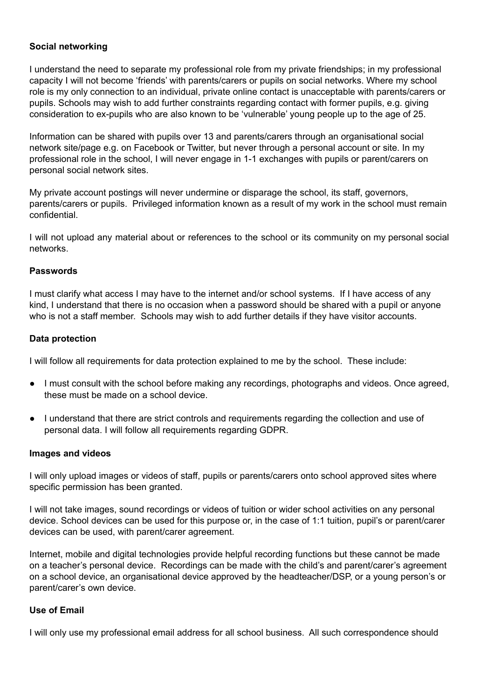#### **Social networking**

I understand the need to separate my professional role from my private friendships; in my professional capacity I will not become 'friends' with parents/carers or pupils on social networks. Where my school role is my only connection to an individual, private online contact is unacceptable with parents/carers or pupils. Schools may wish to add further constraints regarding contact with former pupils, e.g. giving consideration to ex-pupils who are also known to be 'vulnerable' young people up to the age of 25.

Information can be shared with pupils over 13 and parents/carers through an organisational social network site/page e.g. on Facebook or Twitter, but never through a personal account or site. In my professional role in the school, I will never engage in 1-1 exchanges with pupils or parent/carers on personal social network sites.

My private account postings will never undermine or disparage the school, its staff, governors, parents/carers or pupils. Privileged information known as a result of my work in the school must remain confidential.

I will not upload any material about or references to the school or its community on my personal social networks.

#### **Passwords**

I must clarify what access I may have to the internet and/or school systems. If I have access of any kind, I understand that there is no occasion when a password should be shared with a pupil or anyone who is not a staff member. Schools may wish to add further details if they have visitor accounts.

#### **Data protection**

I will follow all requirements for data protection explained to me by the school. These include:

- I must consult with the school before making any recordings, photographs and videos. Once agreed, these must be made on a school device.
- I understand that there are strict controls and requirements regarding the collection and use of personal data. I will follow all requirements regarding GDPR.

#### **Images and videos**

I will only upload images or videos of staff, pupils or parents/carers onto school approved sites where specific permission has been granted.

I will not take images, sound recordings or videos of tuition or wider school activities on any personal device. School devices can be used for this purpose or, in the case of 1:1 tuition, pupil's or parent/carer devices can be used, with parent/carer agreement.

Internet, mobile and digital technologies provide helpful recording functions but these cannot be made on a teacher's personal device. Recordings can be made with the child's and parent/carer's agreement on a school device, an organisational device approved by the headteacher/DSP, or a young person's or parent/carer's own device.

#### **Use of Email**

I will only use my professional email address for all school business. All such correspondence should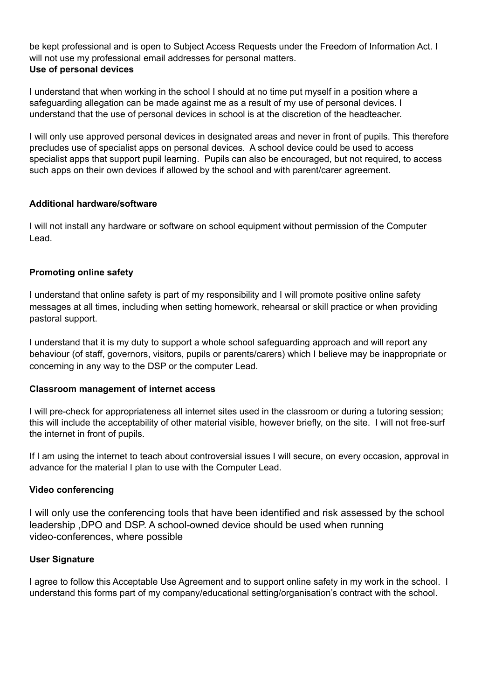be kept professional and is open to Subject Access Requests under the Freedom of Information Act. I will not use my professional email addresses for personal matters. **Use of personal devices**

I understand that when working in the school I should at no time put myself in a position where a safeguarding allegation can be made against me as a result of my use of personal devices. I understand that the use of personal devices in school is at the discretion of the headteacher.

I will only use approved personal devices in designated areas and never in front of pupils. This therefore precludes use of specialist apps on personal devices. A school device could be used to access specialist apps that support pupil learning. Pupils can also be encouraged, but not required, to access such apps on their own devices if allowed by the school and with parent/carer agreement.

#### **Additional hardware/software**

I will not install any hardware or software on school equipment without permission of the Computer Lead.

## **Promoting online safety**

I understand that online safety is part of my responsibility and I will promote positive online safety messages at all times, including when setting homework, rehearsal or skill practice or when providing pastoral support.

I understand that it is my duty to support a whole school safeguarding approach and will report any behaviour (of staff, governors, visitors, pupils or parents/carers) which I believe may be inappropriate or concerning in any way to the DSP or the computer Lead.

#### **Classroom management of internet access**

I will pre-check for appropriateness all internet sites used in the classroom or during a tutoring session; this will include the acceptability of other material visible, however briefly, on the site. I will not free-surf the internet in front of pupils.

If I am using the internet to teach about controversial issues I will secure, on every occasion, approval in advance for the material I plan to use with the Computer Lead.

#### **Video conferencing**

I will only use the conferencing tools that have been identified and risk assessed by the school leadership ,DPO and DSP. A school-owned device should be used when running video-conferences, where possible

#### **User Signature**

I agree to follow this Acceptable Use Agreement and to support online safety in my work in the school. I understand this forms part of my company/educational setting/organisation's contract with the school.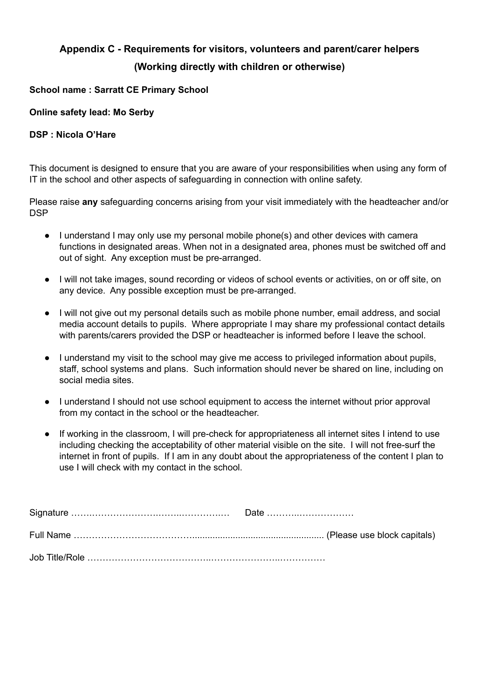# <span id="page-17-0"></span>**Appendix C - Requirements for visitors, volunteers and parent/carer helpers (Working directly with children or otherwise)**

## **School name : Sarratt CE Primary School**

## **Online safety lead: Mo Serby**

#### **DSP : Nicola O'Hare**

This document is designed to ensure that you are aware of your responsibilities when using any form of IT in the school and other aspects of safeguarding in connection with online safety.

Please raise **any** safeguarding concerns arising from your visit immediately with the headteacher and/or **DSP** 

- **●** I understand I may only use my personal mobile phone(s) and other devices with camera functions in designated areas. When not in a designated area, phones must be switched off and out of sight. Any exception must be pre-arranged.
- I will not take images, sound recording or videos of school events or activities, on or off site, on any device. Any possible exception must be pre-arranged.
- I will not give out my personal details such as mobile phone number, email address, and social media account details to pupils. Where appropriate I may share my professional contact details with parents/carers provided the DSP or headteacher is informed before I leave the school.
- I understand my visit to the school may give me access to privileged information about pupils, staff, school systems and plans. Such information should never be shared on line, including on social media sites.
- I understand I should not use school equipment to access the internet without prior approval from my contact in the school or the headteacher.
- If working in the classroom, I will pre-check for appropriateness all internet sites I intend to use including checking the acceptability of other material visible on the site. I will not free-surf the internet in front of pupils. If I am in any doubt about the appropriateness of the content I plan to use I will check with my contact in the school.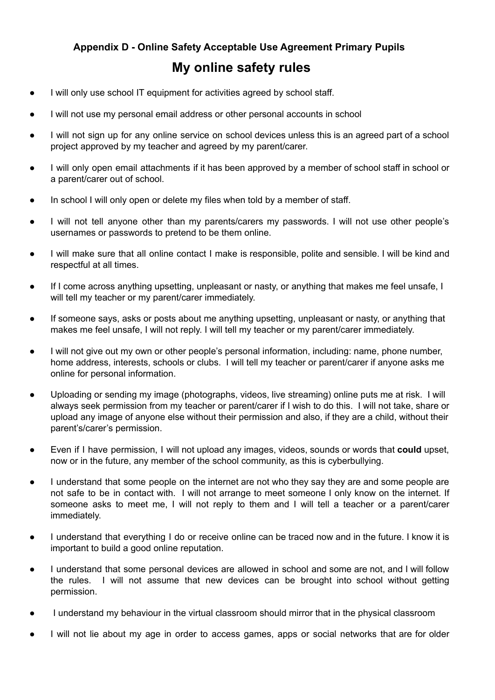# <span id="page-18-0"></span>**Appendix D - Online Safety Acceptable Use Agreement Primary Pupils My online safety rules**

- I will only use school IT equipment for activities agreed by school staff.
- I will not use my personal email address or other personal accounts in school
- I will not sign up for any online service on school devices unless this is an agreed part of a school project approved by my teacher and agreed by my parent/carer.
- I will only open email attachments if it has been approved by a member of school staff in school or a parent/carer out of school.
- In school I will only open or delete my files when told by a member of staff.
- I will not tell anyone other than my parents/carers my passwords. I will not use other people's usernames or passwords to pretend to be them online.
- I will make sure that all online contact I make is responsible, polite and sensible. I will be kind and respectful at all times.
- If I come across anything upsetting, unpleasant or nasty, or anything that makes me feel unsafe, I will tell my teacher or my parent/carer immediately.
- If someone says, asks or posts about me anything upsetting, unpleasant or nasty, or anything that makes me feel unsafe, I will not reply. I will tell my teacher or my parent/carer immediately.
- I will not give out my own or other people's personal information, including: name, phone number, home address, interests, schools or clubs. I will tell my teacher or parent/carer if anyone asks me online for personal information.
- Uploading or sending my image (photographs, videos, live streaming) online puts me at risk. I will always seek permission from my teacher or parent/carer if I wish to do this. I will not take, share or upload any image of anyone else without their permission and also, if they are a child, without their parent's/carer's permission.
- Even if I have permission, I will not upload any images, videos, sounds or words that **could** upset, now or in the future, any member of the school community, as this is cyberbullying.
- I understand that some people on the internet are not who they say they are and some people are not safe to be in contact with. I will not arrange to meet someone I only know on the internet. If someone asks to meet me, I will not reply to them and I will tell a teacher or a parent/carer immediately.
- I understand that everything I do or receive online can be traced now and in the future. I know it is important to build a good online reputation.
- I understand that some personal devices are allowed in school and some are not, and I will follow the rules. I will not assume that new devices can be brought into school without getting permission.
- I understand my behaviour in the virtual classroom should mirror that in the physical classroom
- I will not lie about my age in order to access games, apps or social networks that are for older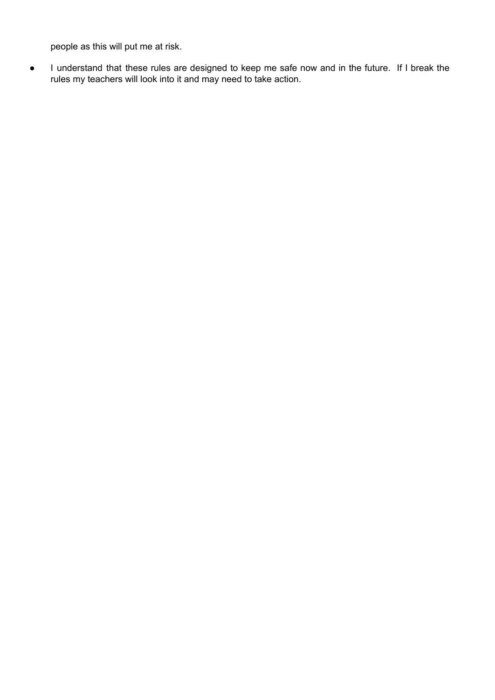people as this will put me at risk.

● I understand that these rules are designed to keep me safe now and in the future. If I break the rules my teachers will look into it and may need to take action.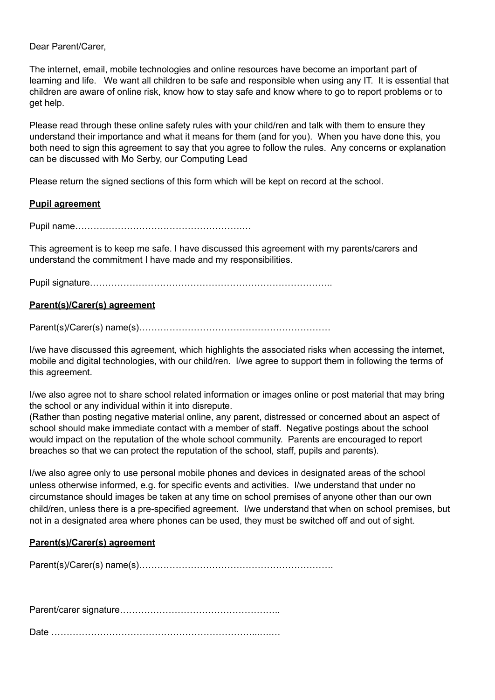Dear Parent/Carer,

The internet, email, mobile technologies and online resources have become an important part of learning and life. We want all children to be safe and responsible when using any IT. It is essential that children are aware of online risk, know how to stay safe and know where to go to report problems or to get help.

Please read through these online safety rules with your child/ren and talk with them to ensure they understand their importance and what it means for them (and for you). When you have done this, you both need to sign this agreement to say that you agree to follow the rules. Any concerns or explanation can be discussed with Mo Serby, our Computing Lead

Please return the signed sections of this form which will be kept on record at the school.

#### **Pupil agreement**

Pupil name……………………………………………….…

This agreement is to keep me safe. I have discussed this agreement with my parents/carers and understand the commitment I have made and my responsibilities.

Pupil signature……………………………………………………………………..

## **Parent(s)/Carer(s) agreement**

Parent(s)/Carer(s) name(s)………………………………………………………

I/we have discussed this agreement, which highlights the associated risks when accessing the internet, mobile and digital technologies, with our child/ren. I/we agree to support them in following the terms of this agreement.

I/we also agree not to share school related information or images online or post material that may bring the school or any individual within it into disrepute.

(Rather than posting negative material online, any parent, distressed or concerned about an aspect of school should make immediate contact with a member of staff. Negative postings about the school would impact on the reputation of the whole school community. Parents are encouraged to report breaches so that we can protect the reputation of the school, staff, pupils and parents).

I/we also agree only to use personal mobile phones and devices in designated areas of the school unless otherwise informed, e.g. for specific events and activities. I/we understand that under no circumstance should images be taken at any time on school premises of anyone other than our own child/ren, unless there is a pre-specified agreement. I/we understand that when on school premises, but not in a designated area where phones can be used, they must be switched off and out of sight.

#### **Parent(s)/Carer(s) agreement**

Parent(s)/Carer(s) name(s)……………………………………………………….

Parent/carer signature……………………………………………..

Date …………………………………………………………...….…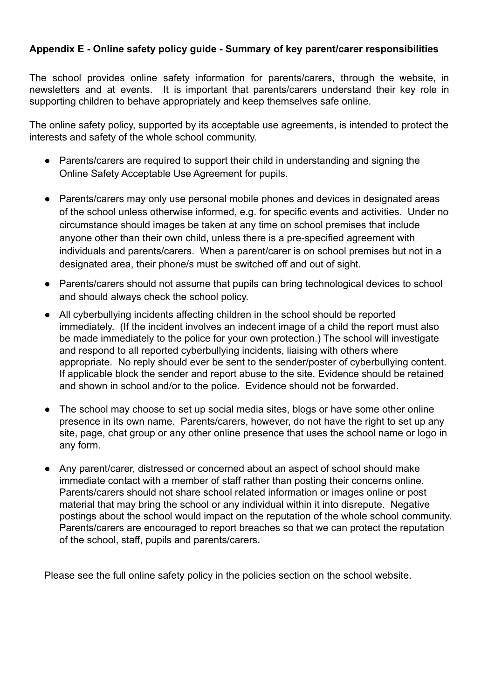# <span id="page-21-0"></span>**Appendix E - Online safety policy guide - Summary of key parent/carer responsibilities**

The school provides online safety information for parents/carers, through the website, in newsletters and at events. It is important that parents/carers understand their key role in supporting children to behave appropriately and keep themselves safe online.

The online safety policy, supported by its acceptable use agreements, is intended to protect the interests and safety of the whole school community.

- Parents/carers are required to support their child in understanding and signing the Online Safety Acceptable Use Agreement for pupils.
- Parents/carers may only use personal mobile phones and devices in designated areas of the school unless otherwise informed, e.g. for specific events and activities. Under no circumstance should images be taken at any time on school premises that include anyone other than their own child, unless there is a pre-specified agreement with individuals and parents/carers. When a parent/carer is on school premises but not in a designated area, their phone/s must be switched off and out of sight.
- Parents/carers should not assume that pupils can bring technological devices to school and should always check the school policy.
- All cyberbullying incidents affecting children in the school should be reported immediately. (If the incident involves an indecent image of a child the report must also be made immediately to the police for your own protection.) The school will investigate and respond to all reported cyberbullying incidents, liaising with others where appropriate. No reply should ever be sent to the sender/poster of cyberbullying content. If applicable block the sender and report abuse to the site. Evidence should be retained and shown in school and/or to the police. Evidence should not be forwarded.
- The school may choose to set up social media sites, blogs or have some other online presence in its own name. Parents/carers, however, do not have the right to set up any site, page, chat group or any other online presence that uses the school name or logo in any form.
- Any parent/carer, distressed or concerned about an aspect of school should make immediate contact with a member of staff rather than posting their concerns online. Parents/carers should not share school related information or images online or post material that may bring the school or any individual within it into disrepute. Negative postings about the school would impact on the reputation of the whole school community. Parents/carers are encouraged to report breaches so that we can protect the reputation of the school, staff, pupils and parents/carers.

Please see the full online safety policy in the policies section on the school website.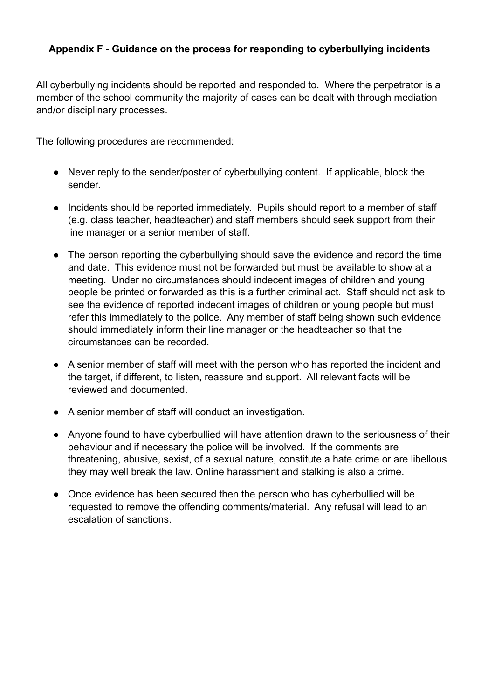# <span id="page-23-0"></span>**Appendix F** - **Guidance on the process for responding to cyberbullying incidents**

All cyberbullying incidents should be reported and responded to. Where the perpetrator is a member of the school community the majority of cases can be dealt with through mediation and/or disciplinary processes.

The following procedures are recommended:

- Never reply to the sender/poster of cyberbullying content. If applicable, block the sender.
- Incidents should be reported immediately. Pupils should report to a member of staff (e.g. class teacher, headteacher) and staff members should seek support from their line manager or a senior member of staff.
- The person reporting the cyberbullying should save the evidence and record the time and date. This evidence must not be forwarded but must be available to show at a meeting. Under no circumstances should indecent images of children and young people be printed or forwarded as this is a further criminal act. Staff should not ask to see the evidence of reported indecent images of children or young people but must refer this immediately to the police. Any member of staff being shown such evidence should immediately inform their line manager or the headteacher so that the circumstances can be recorded.
- A senior member of staff will meet with the person who has reported the incident and the target, if different, to listen, reassure and support. All relevant facts will be reviewed and documented.
- A senior member of staff will conduct an investigation.
- Anyone found to have cyberbullied will have attention drawn to the seriousness of their behaviour and if necessary the police will be involved. If the comments are threatening, abusive, sexist, of a sexual nature, constitute a hate crime or are libellous they may well break the law. Online harassment and stalking is also a crime.
- Once evidence has been secured then the person who has cyberbullied will be requested to remove the offending comments/material. Any refusal will lead to an escalation of sanctions.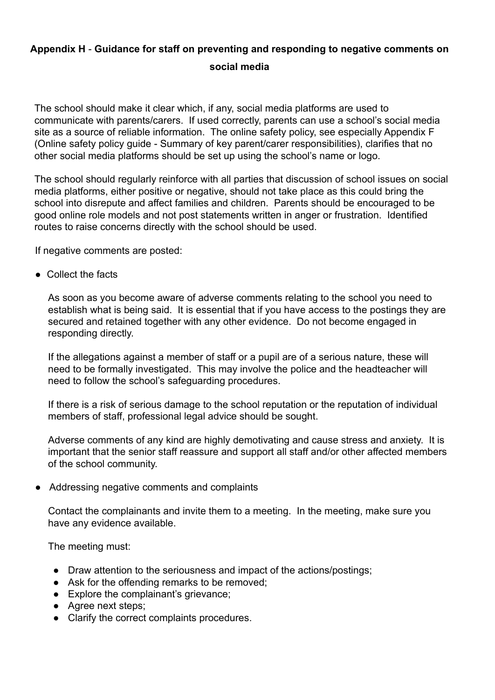# <span id="page-24-0"></span>**Appendix H** - **Guidance for staff on preventing and responding to negative comments on social media**

The school should make it clear which, if any, social media platforms are used to communicate with parents/carers. If used correctly, parents can use a school's social media site as a source of reliable information. The online safety policy, see especially Appendix F (Online safety policy guide - Summary of key parent/carer responsibilities), clarifies that no other social media platforms should be set up using the school's name or logo.

The school should regularly reinforce with all parties that discussion of school issues on social media platforms, either positive or negative, should not take place as this could bring the school into disrepute and affect families and children. Parents should be encouraged to be good online role models and not post statements written in anger or frustration. Identified routes to raise concerns directly with the school should be used.

If negative comments are posted:

● Collect the facts

As soon as you become aware of adverse comments relating to the school you need to establish what is being said. It is essential that if you have access to the postings they are secured and retained together with any other evidence. Do not become engaged in responding directly.

If the allegations against a member of staff or a pupil are of a serious nature, these will need to be formally investigated. This may involve the police and the headteacher will need to follow the school's safeguarding procedures.

If there is a risk of serious damage to the school reputation or the reputation of individual members of staff, professional legal advice should be sought.

Adverse comments of any kind are highly demotivating and cause stress and anxiety. It is important that the senior staff reassure and support all staff and/or other affected members of the school community.

● Addressing negative comments and complaints

Contact the complainants and invite them to a meeting. In the meeting, make sure you have any evidence available.

The meeting must:

- Draw attention to the seriousness and impact of the actions/postings;
- Ask for the offending remarks to be removed;
- Explore the complainant's grievance;
- Agree next steps;
- Clarify the correct complaints procedures.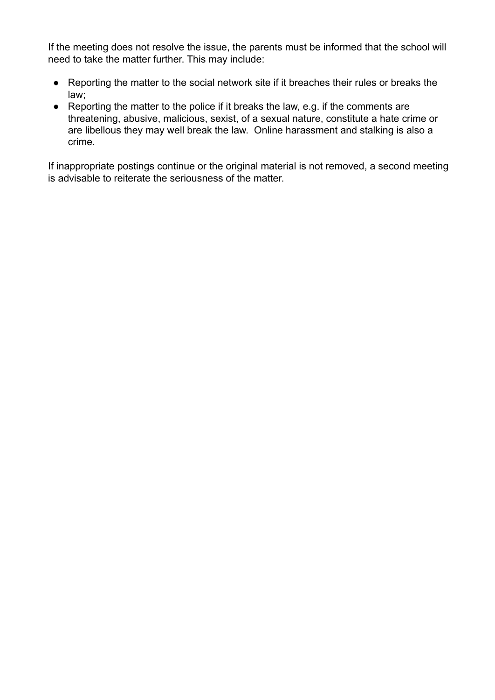If the meeting does not resolve the issue, the parents must be informed that the school will need to take the matter further. This may include:

- Reporting the matter to the social network site if it breaches their rules or breaks the law;
- Reporting the matter to the police if it breaks the law, e.g. if the comments are threatening, abusive, malicious, sexist, of a sexual nature, constitute a hate crime or are libellous they may well break the law. Online harassment and stalking is also a crime.

If inappropriate postings continue or the original material is not removed, a second meeting is advisable to reiterate the seriousness of the matter.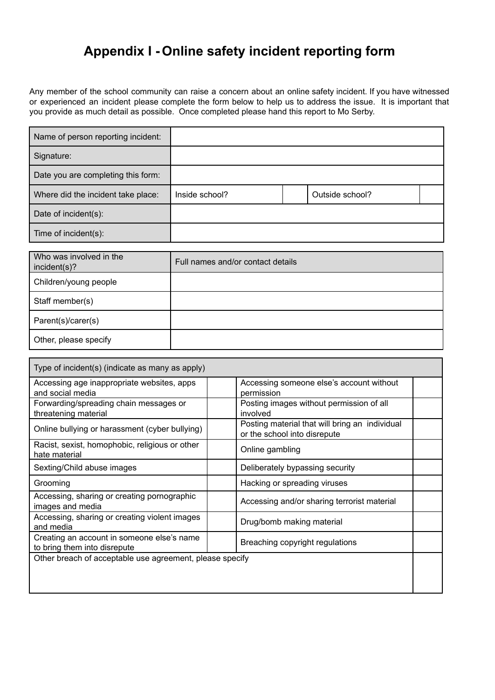# **Appendix I - Online safety incident reporting form**

<span id="page-26-0"></span>Any member of the school community can raise a concern about an online safety incident. If you have witnessed or experienced an incident please complete the form below to help us to address the issue. It is important that you provide as much detail as possible. Once completed please hand this report to Mo Serby.

| Name of person reporting incident: |                |                 |  |
|------------------------------------|----------------|-----------------|--|
| Signature:                         |                |                 |  |
| Date you are completing this form: |                |                 |  |
| Where did the incident take place: | Inside school? | Outside school? |  |
| Date of incident(s):               |                |                 |  |
| Time of incident(s):               |                |                 |  |

| Who was involved in the<br>incident(s)? | Full names and/or contact details |
|-----------------------------------------|-----------------------------------|
| Children/young people                   |                                   |
| Staff member(s)                         |                                   |
| Parent(s)/carer(s)                      |                                   |
| Other, please specify                   |                                   |

| Type of incident(s) (indicate as many as apply)                            |                                                                                |  |
|----------------------------------------------------------------------------|--------------------------------------------------------------------------------|--|
| Accessing age inappropriate websites, apps<br>and social media             | Accessing someone else's account without<br>permission                         |  |
| Forwarding/spreading chain messages or<br>threatening material             | Posting images without permission of all<br>involved                           |  |
| Online bullying or harassment (cyber bullying)                             | Posting material that will bring an individual<br>or the school into disrepute |  |
| Racist, sexist, homophobic, religious or other<br>hate material            | Online gambling                                                                |  |
| Sexting/Child abuse images                                                 | Deliberately bypassing security                                                |  |
| Grooming                                                                   | Hacking or spreading viruses                                                   |  |
| Accessing, sharing or creating pornographic<br>images and media            | Accessing and/or sharing terrorist material                                    |  |
| Accessing, sharing or creating violent images<br>and media                 | Drug/bomb making material                                                      |  |
| Creating an account in someone else's name<br>to bring them into disrepute | Breaching copyright regulations                                                |  |
| Other breach of acceptable use agreement, please specify                   |                                                                                |  |
|                                                                            |                                                                                |  |
|                                                                            |                                                                                |  |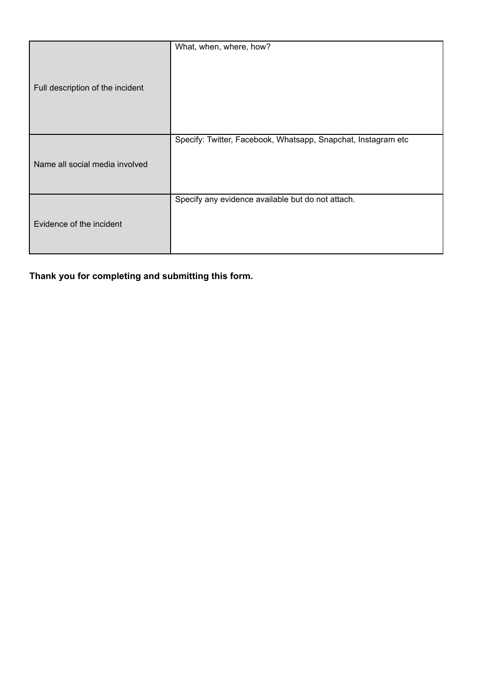|                                  | What, when, where, how?                                       |
|----------------------------------|---------------------------------------------------------------|
|                                  |                                                               |
|                                  |                                                               |
|                                  |                                                               |
|                                  |                                                               |
| Full description of the incident |                                                               |
|                                  |                                                               |
|                                  |                                                               |
|                                  |                                                               |
|                                  | Specify: Twitter, Facebook, Whatsapp, Snapchat, Instagram etc |
|                                  |                                                               |
|                                  |                                                               |
| Name all social media involved   |                                                               |
|                                  |                                                               |
|                                  |                                                               |
|                                  | Specify any evidence available but do not attach.             |
|                                  |                                                               |
| Evidence of the incident         |                                                               |
|                                  |                                                               |
|                                  |                                                               |
|                                  |                                                               |

**Thank you for completing and submitting this form.**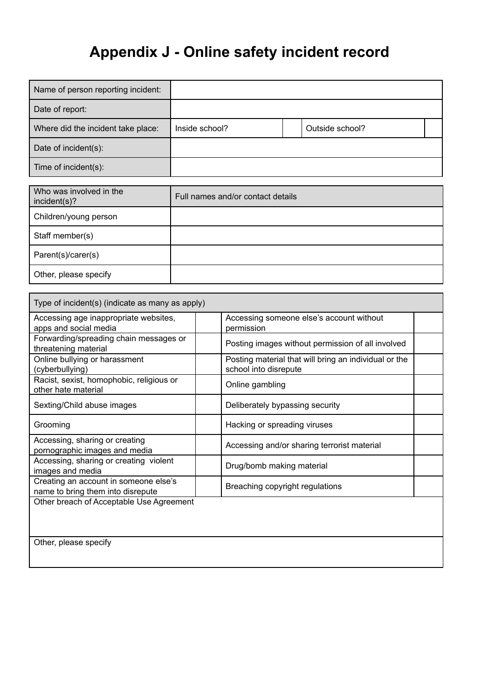# **Appendix J - Online safety incident record**

<span id="page-28-0"></span>

| Name of person reporting incident: |                |                 |  |
|------------------------------------|----------------|-----------------|--|
| Date of report:                    |                |                 |  |
| Where did the incident take place: | Inside school? | Outside school? |  |
| Date of incident(s):               |                |                 |  |
| Time of incident(s):               |                |                 |  |

| Who was involved in the<br>incident(s)? | Full names and/or contact details |
|-----------------------------------------|-----------------------------------|
| Children/young person                   |                                   |
| Staff member(s)                         |                                   |
| Parent(s)/carer(s)                      |                                   |
| Other, please specify                   |                                   |

| Type of incident(s) (indicate as many as apply)                            |                                                                                |  |  |
|----------------------------------------------------------------------------|--------------------------------------------------------------------------------|--|--|
| Accessing age inappropriate websites,<br>apps and social media             | Accessing someone else's account without<br>permission                         |  |  |
| Forwarding/spreading chain messages or<br>threatening material             | Posting images without permission of all involved                              |  |  |
| Online bullying or harassment<br>(cyberbullying)                           | Posting material that will bring an individual or the<br>school into disrepute |  |  |
| Racist, sexist, homophobic, religious or<br>other hate material            | Online gambling                                                                |  |  |
| Sexting/Child abuse images                                                 | Deliberately bypassing security                                                |  |  |
| Grooming                                                                   | Hacking or spreading viruses                                                   |  |  |
| Accessing, sharing or creating<br>pornographic images and media            | Accessing and/or sharing terrorist material                                    |  |  |
| Accessing, sharing or creating violent<br>images and media                 | Drug/bomb making material                                                      |  |  |
| Creating an account in someone else's<br>name to bring them into disrepute | Breaching copyright regulations                                                |  |  |
| Other breach of Acceptable Use Agreement                                   |                                                                                |  |  |
|                                                                            |                                                                                |  |  |
| Other, please specify                                                      |                                                                                |  |  |
|                                                                            |                                                                                |  |  |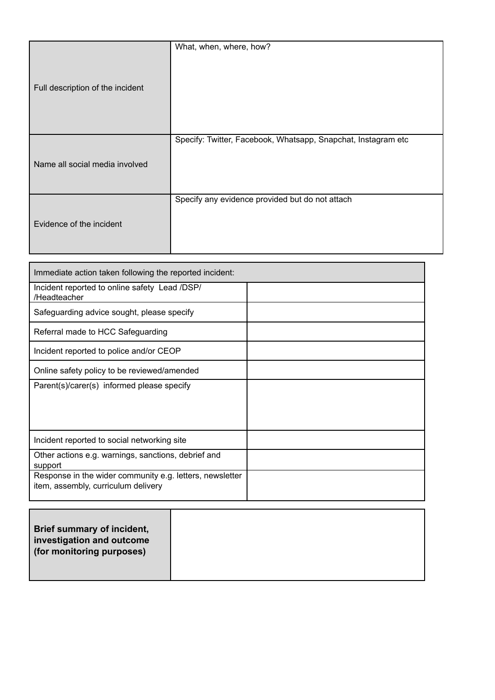|                                  | What, when, where, how?                                       |
|----------------------------------|---------------------------------------------------------------|
|                                  |                                                               |
|                                  |                                                               |
|                                  |                                                               |
| Full description of the incident |                                                               |
|                                  |                                                               |
|                                  |                                                               |
|                                  |                                                               |
|                                  |                                                               |
|                                  | Specify: Twitter, Facebook, Whatsapp, Snapchat, Instagram etc |
|                                  |                                                               |
| Name all social media involved   |                                                               |
|                                  |                                                               |
|                                  |                                                               |
|                                  | Specify any evidence provided but do not attach               |
|                                  |                                                               |
|                                  |                                                               |
| Evidence of the incident         |                                                               |
|                                  |                                                               |
|                                  |                                                               |

| Immediate action taken following the reported incident:                                         |  |  |  |  |
|-------------------------------------------------------------------------------------------------|--|--|--|--|
| Incident reported to online safety Lead /DSP/<br>/Headteacher                                   |  |  |  |  |
| Safeguarding advice sought, please specify                                                      |  |  |  |  |
| Referral made to HCC Safeguarding                                                               |  |  |  |  |
| Incident reported to police and/or CEOP                                                         |  |  |  |  |
| Online safety policy to be reviewed/amended                                                     |  |  |  |  |
| Parent(s)/carer(s) informed please specify                                                      |  |  |  |  |
| Incident reported to social networking site                                                     |  |  |  |  |
| Other actions e.g. warnings, sanctions, debrief and<br>support                                  |  |  |  |  |
| Response in the wider community e.g. letters, newsletter<br>item, assembly, curriculum delivery |  |  |  |  |

| Brief summary of incident,<br>investigation and outcome<br>(for monitoring purposes) |  |
|--------------------------------------------------------------------------------------|--|
|                                                                                      |  |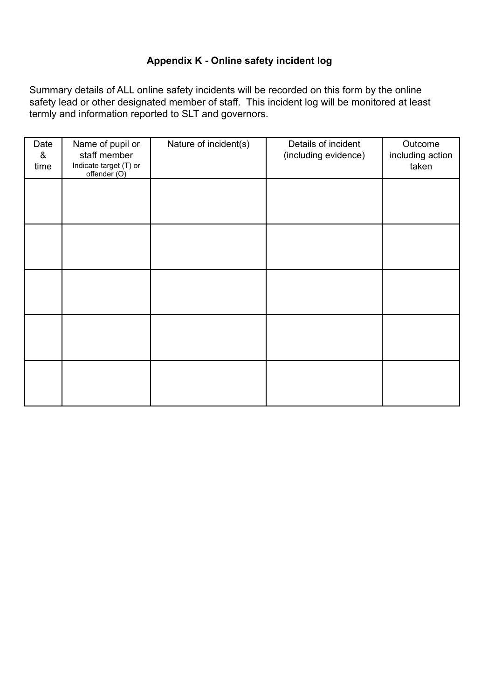# **Appendix K - Online safety incident log**

<span id="page-30-0"></span>Summary details of ALL online safety incidents will be recorded on this form by the online safety lead or other designated member of staff. This incident log will be monitored at least termly and information reported to SLT and governors.

| Date<br>&<br>time | Name of pupil or<br>staff member<br>Indicate target (T) or<br>offender (O) | Nature of incident(s) | Details of incident<br>(including evidence) | Outcome<br>including action<br>taken |
|-------------------|----------------------------------------------------------------------------|-----------------------|---------------------------------------------|--------------------------------------|
|                   |                                                                            |                       |                                             |                                      |
|                   |                                                                            |                       |                                             |                                      |
|                   |                                                                            |                       |                                             |                                      |
|                   |                                                                            |                       |                                             |                                      |
|                   |                                                                            |                       |                                             |                                      |
|                   |                                                                            |                       |                                             |                                      |
|                   |                                                                            |                       |                                             |                                      |